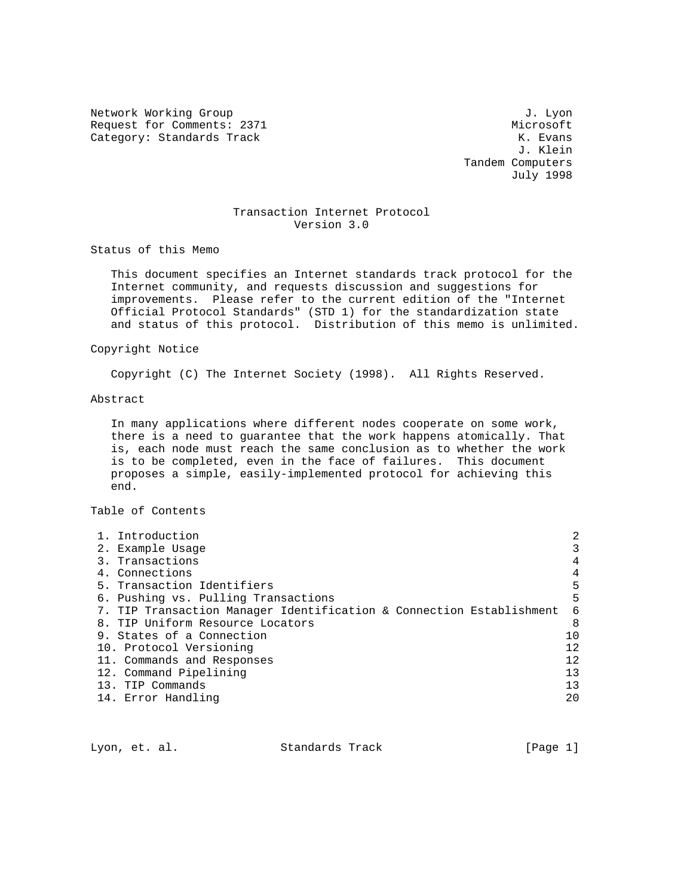Network Working Group 3. Lyon J. Lyon Request for Comments: 2371 Microsoft Microsoft Microsoft (Alternative Microsoft Microsoft Microsoft Microsoft M<br>
Microsoft Microsoft (Alternative Microsoft Microsoft Microsoft Microsoft Microsoft Microsoft Microsoft Micros Category: Standards Track

 J. Klein Tandem Computers July 1998

# Transaction Internet Protocol Version 3.0

Status of this Memo

 This document specifies an Internet standards track protocol for the Internet community, and requests discussion and suggestions for improvements. Please refer to the current edition of the "Internet Official Protocol Standards" (STD 1) for the standardization state and status of this protocol. Distribution of this memo is unlimited.

### Copyright Notice

Copyright (C) The Internet Society (1998). All Rights Reserved.

# Abstract

 In many applications where different nodes cooperate on some work, there is a need to guarantee that the work happens atomically. That is, each node must reach the same conclusion as to whether the work is to be completed, even in the face of failures. This document proposes a simple, easily-implemented protocol for achieving this end.

Table of Contents

| 2  |
|----|
| 3  |
| 4  |
| 4  |
| 5  |
| 5  |
| 6  |
| 8  |
| 10 |
| 12 |
| 12 |
| 13 |
| 13 |
| 20 |
|    |

Lyon, et. al. Standards Track [Page 1]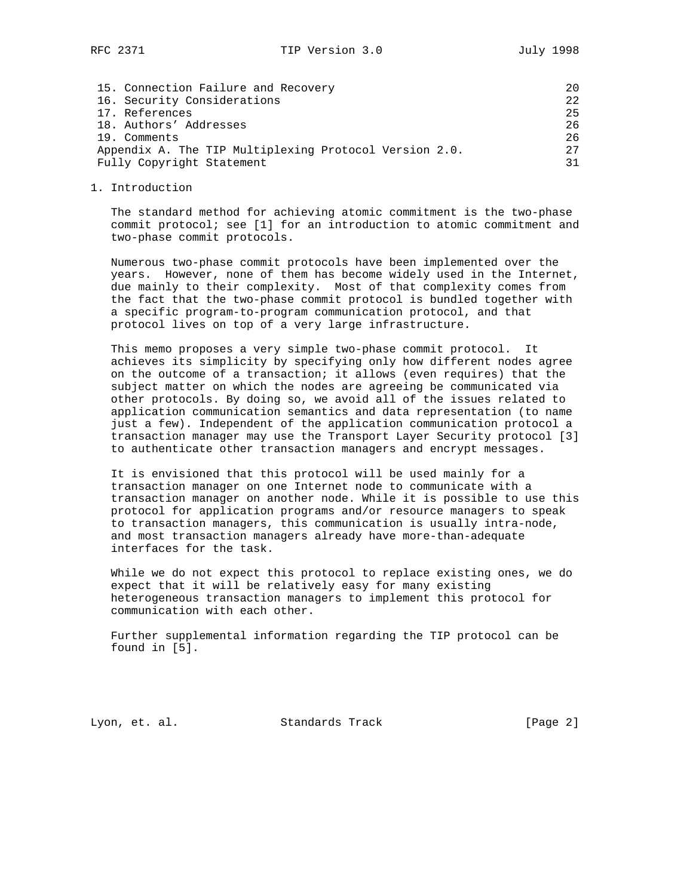| 15. Connection Failure and Recovery                    | 2.0              |
|--------------------------------------------------------|------------------|
| 16. Security Considerations                            | 2.2 <sub>1</sub> |
| 17. References                                         | 25               |
| 18. Authors' Addresses                                 | 26               |
| 19. Comments                                           | 26               |
| Appendix A. The TIP Multiplexing Protocol Version 2.0. | 2.7              |
| Fully Copyright Statement                              | 31               |

1. Introduction

 The standard method for achieving atomic commitment is the two-phase commit protocol; see [1] for an introduction to atomic commitment and two-phase commit protocols.

 Numerous two-phase commit protocols have been implemented over the years. However, none of them has become widely used in the Internet, due mainly to their complexity. Most of that complexity comes from the fact that the two-phase commit protocol is bundled together with a specific program-to-program communication protocol, and that protocol lives on top of a very large infrastructure.

 This memo proposes a very simple two-phase commit protocol. It achieves its simplicity by specifying only how different nodes agree on the outcome of a transaction; it allows (even requires) that the subject matter on which the nodes are agreeing be communicated via other protocols. By doing so, we avoid all of the issues related to application communication semantics and data representation (to name just a few). Independent of the application communication protocol a transaction manager may use the Transport Layer Security protocol [3] to authenticate other transaction managers and encrypt messages.

 It is envisioned that this protocol will be used mainly for a transaction manager on one Internet node to communicate with a transaction manager on another node. While it is possible to use this protocol for application programs and/or resource managers to speak to transaction managers, this communication is usually intra-node, and most transaction managers already have more-than-adequate interfaces for the task.

 While we do not expect this protocol to replace existing ones, we do expect that it will be relatively easy for many existing heterogeneous transaction managers to implement this protocol for communication with each other.

 Further supplemental information regarding the TIP protocol can be found in [5].

Lyon, et. al. Standards Track [Page 2]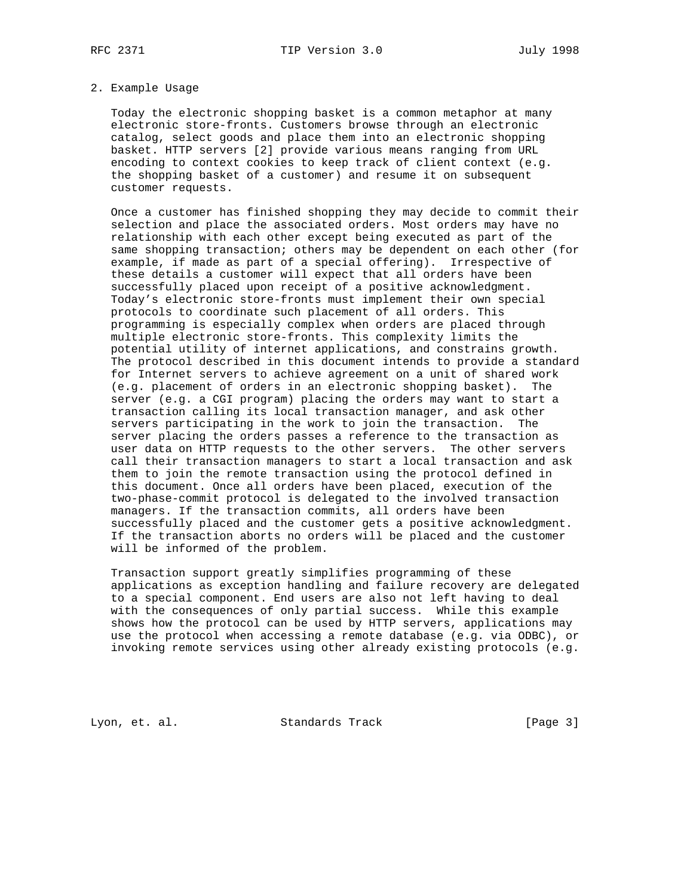# 2. Example Usage

 Today the electronic shopping basket is a common metaphor at many electronic store-fronts. Customers browse through an electronic catalog, select goods and place them into an electronic shopping basket. HTTP servers [2] provide various means ranging from URL encoding to context cookies to keep track of client context (e.g. the shopping basket of a customer) and resume it on subsequent customer requests.

 Once a customer has finished shopping they may decide to commit their selection and place the associated orders. Most orders may have no relationship with each other except being executed as part of the same shopping transaction; others may be dependent on each other (for example, if made as part of a special offering). Irrespective of these details a customer will expect that all orders have been successfully placed upon receipt of a positive acknowledgment. Today's electronic store-fronts must implement their own special protocols to coordinate such placement of all orders. This programming is especially complex when orders are placed through multiple electronic store-fronts. This complexity limits the potential utility of internet applications, and constrains growth. The protocol described in this document intends to provide a standard for Internet servers to achieve agreement on a unit of shared work (e.g. placement of orders in an electronic shopping basket). The server (e.g. a CGI program) placing the orders may want to start a transaction calling its local transaction manager, and ask other servers participating in the work to join the transaction. The server placing the orders passes a reference to the transaction as user data on HTTP requests to the other servers. The other servers call their transaction managers to start a local transaction and ask them to join the remote transaction using the protocol defined in this document. Once all orders have been placed, execution of the two-phase-commit protocol is delegated to the involved transaction managers. If the transaction commits, all orders have been successfully placed and the customer gets a positive acknowledgment. If the transaction aborts no orders will be placed and the customer will be informed of the problem.

 Transaction support greatly simplifies programming of these applications as exception handling and failure recovery are delegated to a special component. End users are also not left having to deal with the consequences of only partial success. While this example shows how the protocol can be used by HTTP servers, applications may use the protocol when accessing a remote database (e.g. via ODBC), or invoking remote services using other already existing protocols (e.g.

Lyon, et. al. Standards Track [Page 3]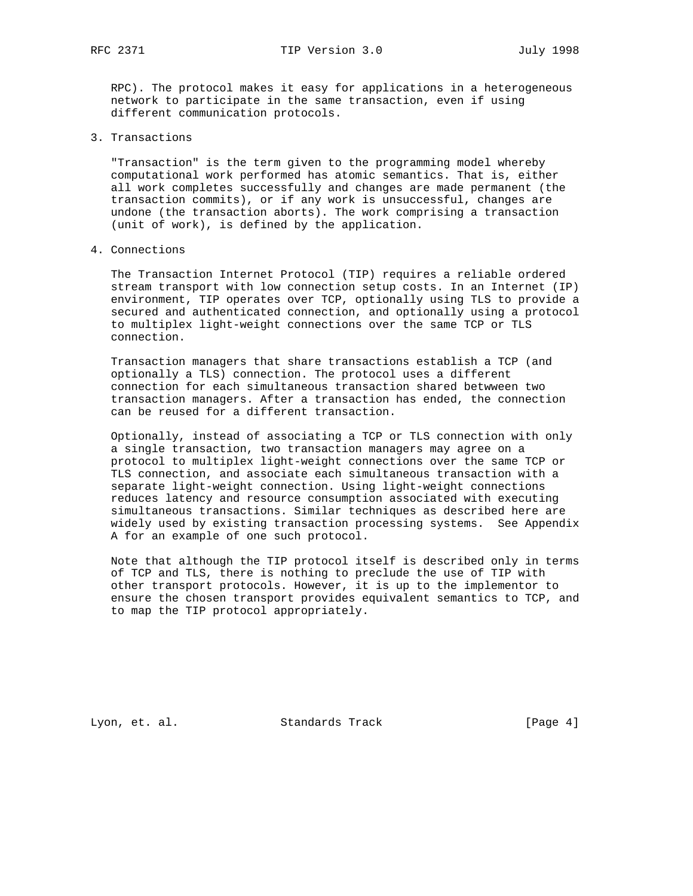RPC). The protocol makes it easy for applications in a heterogeneous network to participate in the same transaction, even if using different communication protocols.

3. Transactions

 "Transaction" is the term given to the programming model whereby computational work performed has atomic semantics. That is, either all work completes successfully and changes are made permanent (the transaction commits), or if any work is unsuccessful, changes are undone (the transaction aborts). The work comprising a transaction (unit of work), is defined by the application.

4. Connections

 The Transaction Internet Protocol (TIP) requires a reliable ordered stream transport with low connection setup costs. In an Internet (IP) environment, TIP operates over TCP, optionally using TLS to provide a secured and authenticated connection, and optionally using a protocol to multiplex light-weight connections over the same TCP or TLS connection.

 Transaction managers that share transactions establish a TCP (and optionally a TLS) connection. The protocol uses a different connection for each simultaneous transaction shared betwween two transaction managers. After a transaction has ended, the connection can be reused for a different transaction.

 Optionally, instead of associating a TCP or TLS connection with only a single transaction, two transaction managers may agree on a protocol to multiplex light-weight connections over the same TCP or TLS connection, and associate each simultaneous transaction with a separate light-weight connection. Using light-weight connections reduces latency and resource consumption associated with executing simultaneous transactions. Similar techniques as described here are widely used by existing transaction processing systems. See Appendix A for an example of one such protocol.

 Note that although the TIP protocol itself is described only in terms of TCP and TLS, there is nothing to preclude the use of TIP with other transport protocols. However, it is up to the implementor to ensure the chosen transport provides equivalent semantics to TCP, and to map the TIP protocol appropriately.

Lyon, et. al. Standards Track [Page 4]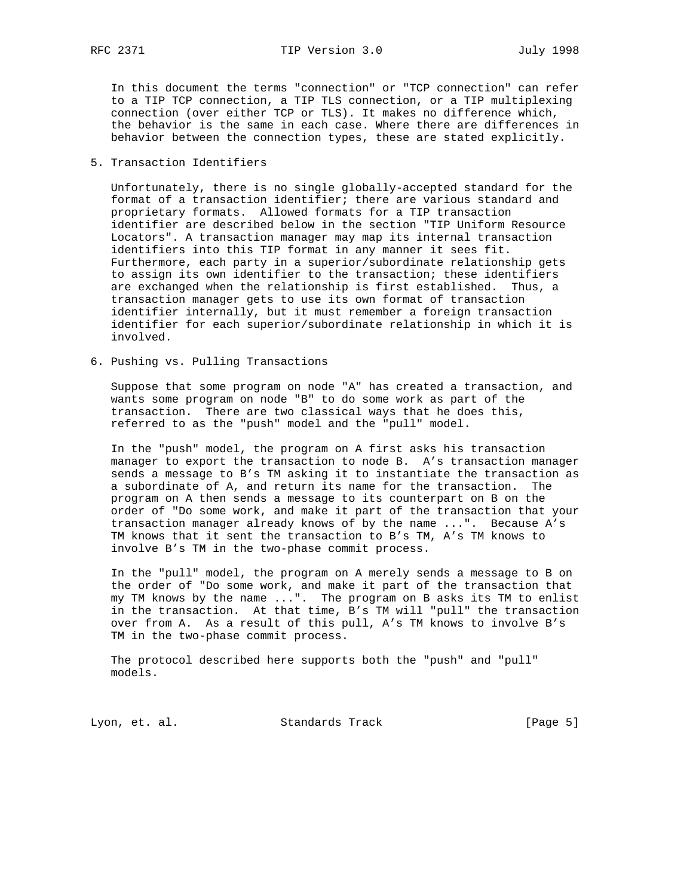RFC 2371 TIP Version 3.0 July 1998

 In this document the terms "connection" or "TCP connection" can refer to a TIP TCP connection, a TIP TLS connection, or a TIP multiplexing connection (over either TCP or TLS). It makes no difference which, the behavior is the same in each case. Where there are differences in behavior between the connection types, these are stated explicitly.

5. Transaction Identifiers

 Unfortunately, there is no single globally-accepted standard for the format of a transaction identifier; there are various standard and proprietary formats. Allowed formats for a TIP transaction identifier are described below in the section "TIP Uniform Resource Locators". A transaction manager may map its internal transaction identifiers into this TIP format in any manner it sees fit. Furthermore, each party in a superior/subordinate relationship gets to assign its own identifier to the transaction; these identifiers are exchanged when the relationship is first established. Thus, a transaction manager gets to use its own format of transaction identifier internally, but it must remember a foreign transaction identifier for each superior/subordinate relationship in which it is involved.

6. Pushing vs. Pulling Transactions

 Suppose that some program on node "A" has created a transaction, and wants some program on node "B" to do some work as part of the transaction. There are two classical ways that he does this, referred to as the "push" model and the "pull" model.

 In the "push" model, the program on A first asks his transaction manager to export the transaction to node B. A's transaction manager sends a message to B's TM asking it to instantiate the transaction as a subordinate of A, and return its name for the transaction. The program on A then sends a message to its counterpart on B on the order of "Do some work, and make it part of the transaction that your transaction manager already knows of by the name ...". Because A's TM knows that it sent the transaction to B's TM, A's TM knows to involve B's TM in the two-phase commit process.

 In the "pull" model, the program on A merely sends a message to B on the order of "Do some work, and make it part of the transaction that my TM knows by the name ...". The program on B asks its TM to enlist in the transaction. At that time, B's TM will "pull" the transaction over from A. As a result of this pull, A's TM knows to involve B's TM in the two-phase commit process.

 The protocol described here supports both the "push" and "pull" models.

Lyon, et. al. Standards Track [Page 5]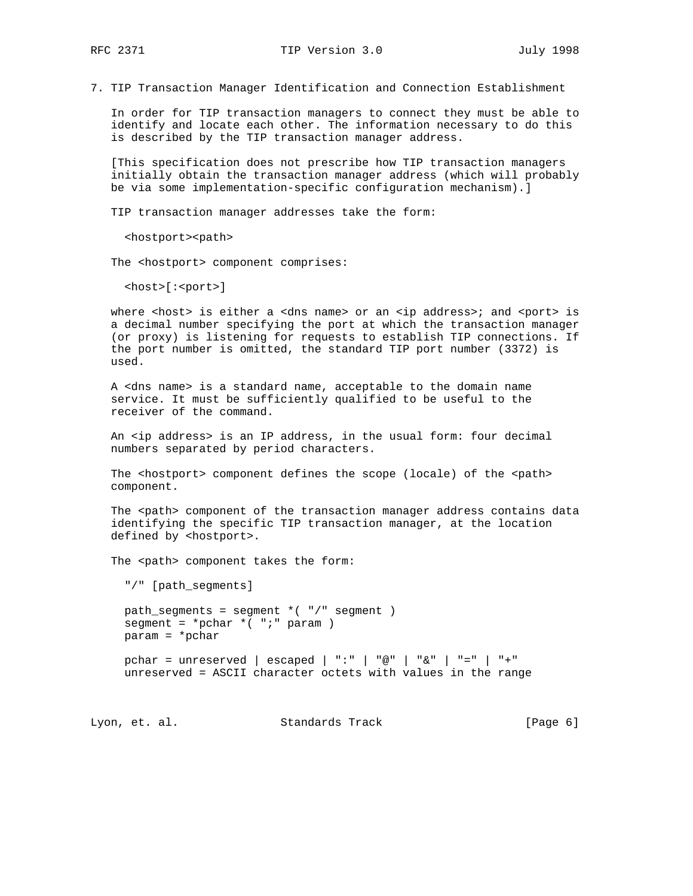7. TIP Transaction Manager Identification and Connection Establishment

 In order for TIP transaction managers to connect they must be able to identify and locate each other. The information necessary to do this is described by the TIP transaction manager address.

 [This specification does not prescribe how TIP transaction managers initially obtain the transaction manager address (which will probably be via some implementation-specific configuration mechanism).]

TIP transaction manager addresses take the form:

<hostport><path>

The <hostport> component comprises:

<host>[:<port>]

where <host> is either a <dns name> or an <ip address>; and <port> is a decimal number specifying the port at which the transaction manager (or proxy) is listening for requests to establish TIP connections. If the port number is omitted, the standard TIP port number (3372) is used.

 A <dns name> is a standard name, acceptable to the domain name service. It must be sufficiently qualified to be useful to the receiver of the command.

 An <ip address> is an IP address, in the usual form: four decimal numbers separated by period characters.

The <hostport> component defines the scope (locale) of the <path> component.

The <path> component of the transaction manager address contains data identifying the specific TIP transaction manager, at the location defined by <hostport>.

The <path> component takes the form:

"/" [path\_segments]

 path\_segments = segment \*( "/" segment ) segment =  $*{phi * ( "i" param )$ param = \*pchar

 pchar = unreserved | escaped | ":" | "@" | "&" | "=" | "+" unreserved = ASCII character octets with values in the range

Lyon, et. al. Standards Track [Page 6]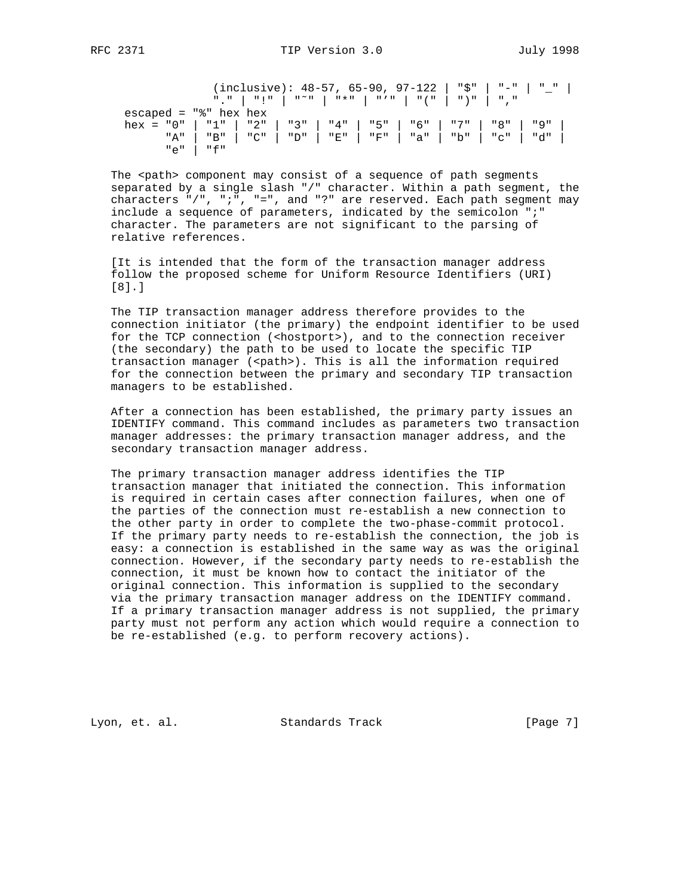(inclusive): 48-57, 65-90, 97-122 | "\$" | "-" | "\_" | "." | "!" | "˜" | "\*" | "'" | "(" | ")" | "," escaped =  $"$  hex hex hex = "0" | "1" | "2" | "3" | "4" | "5" | "6" | "7" | "8" | "9" | "A" | "B" | "C" | "D" | "E" | "F" | "a" | "b" | "c" | "d" |  $"e"$  |  $"f"$ 

The <path> component may consist of a sequence of path segments separated by a single slash "/" character. Within a path segment, the characters "/", ";", "=", and "?" are reserved. Each path segment may include a sequence of parameters, indicated by the semicolon ";" character. The parameters are not significant to the parsing of relative references.

 [It is intended that the form of the transaction manager address follow the proposed scheme for Uniform Resource Identifiers (URI) [8].]

 The TIP transaction manager address therefore provides to the connection initiator (the primary) the endpoint identifier to be used for the TCP connection (<hostport>), and to the connection receiver (the secondary) the path to be used to locate the specific TIP transaction manager (<path>). This is all the information required for the connection between the primary and secondary TIP transaction managers to be established.

 After a connection has been established, the primary party issues an IDENTIFY command. This command includes as parameters two transaction manager addresses: the primary transaction manager address, and the secondary transaction manager address.

 The primary transaction manager address identifies the TIP transaction manager that initiated the connection. This information is required in certain cases after connection failures, when one of the parties of the connection must re-establish a new connection to the other party in order to complete the two-phase-commit protocol. If the primary party needs to re-establish the connection, the job is easy: a connection is established in the same way as was the original connection. However, if the secondary party needs to re-establish the connection, it must be known how to contact the initiator of the original connection. This information is supplied to the secondary via the primary transaction manager address on the IDENTIFY command. If a primary transaction manager address is not supplied, the primary party must not perform any action which would require a connection to be re-established (e.g. to perform recovery actions).

Lyon, et. al. Standards Track [Page 7]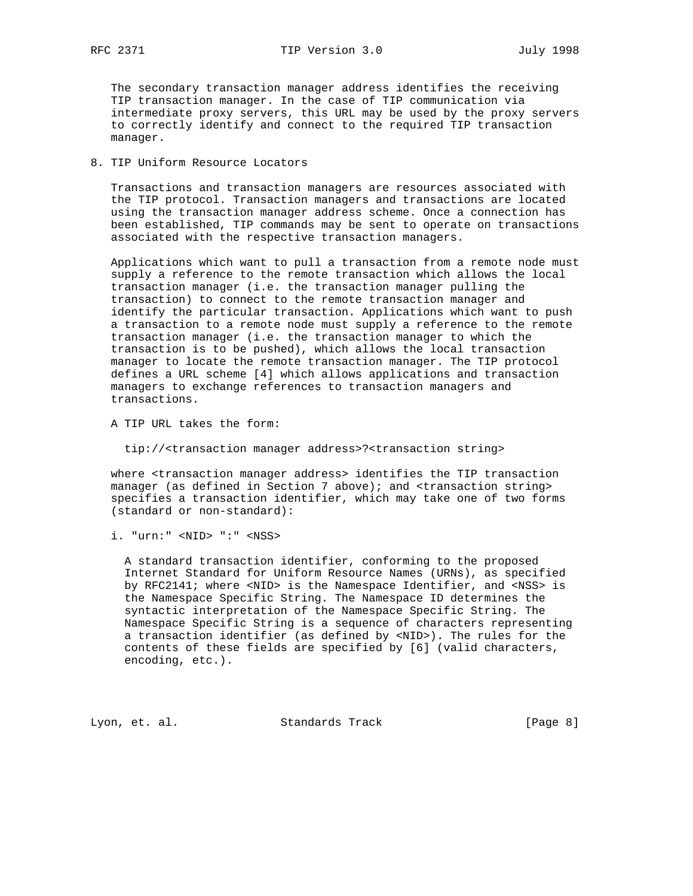The secondary transaction manager address identifies the receiving TIP transaction manager. In the case of TIP communication via intermediate proxy servers, this URL may be used by the proxy servers to correctly identify and connect to the required TIP transaction manager.

# 8. TIP Uniform Resource Locators

 Transactions and transaction managers are resources associated with the TIP protocol. Transaction managers and transactions are located using the transaction manager address scheme. Once a connection has been established, TIP commands may be sent to operate on transactions associated with the respective transaction managers.

 Applications which want to pull a transaction from a remote node must supply a reference to the remote transaction which allows the local transaction manager (i.e. the transaction manager pulling the transaction) to connect to the remote transaction manager and identify the particular transaction. Applications which want to push a transaction to a remote node must supply a reference to the remote transaction manager (i.e. the transaction manager to which the transaction is to be pushed), which allows the local transaction manager to locate the remote transaction manager. The TIP protocol defines a URL scheme [4] which allows applications and transaction managers to exchange references to transaction managers and transactions.

A TIP URL takes the form:

tip://<transaction manager address>?<transaction string>

 where <transaction manager address> identifies the TIP transaction manager (as defined in Section 7 above); and <transaction string> specifies a transaction identifier, which may take one of two forms (standard or non-standard):

i. "urn:" <NID> ":" <NSS>

 A standard transaction identifier, conforming to the proposed Internet Standard for Uniform Resource Names (URNs), as specified by RFC2141; where <NID> is the Namespace Identifier, and <NSS> is the Namespace Specific String. The Namespace ID determines the syntactic interpretation of the Namespace Specific String. The Namespace Specific String is a sequence of characters representing a transaction identifier (as defined by <NID>). The rules for the contents of these fields are specified by [6] (valid characters, encoding, etc.).

Lyon, et. al. Standards Track [Page 8]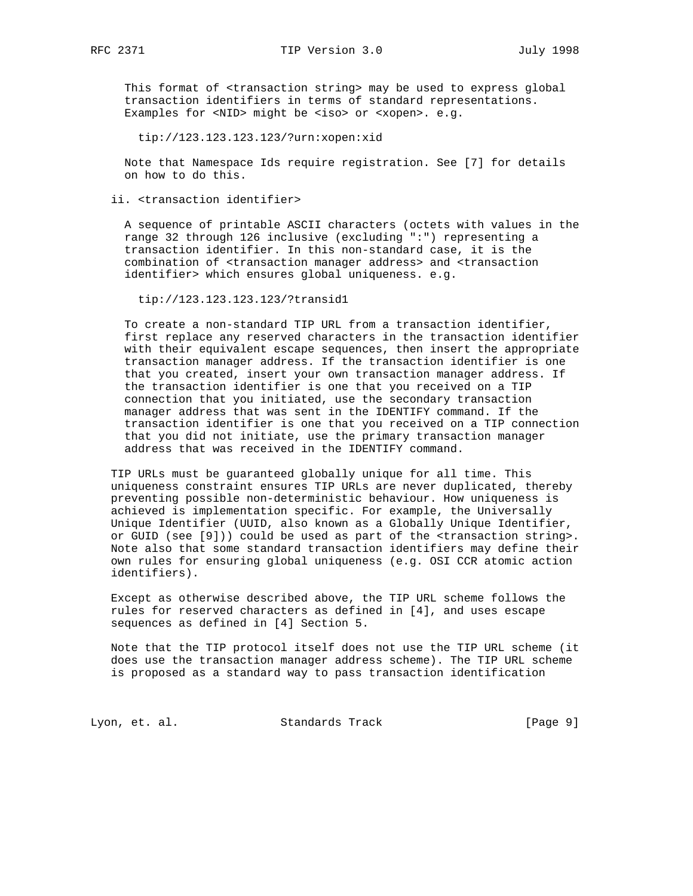This format of <transaction string> may be used to express global transaction identifiers in terms of standard representations. Examples for <NID> might be <iso> or <xopen>. e.g.

tip://123.123.123.123/?urn:xopen:xid

 Note that Namespace Ids require registration. See [7] for details on how to do this.

ii. <transaction identifier>

 A sequence of printable ASCII characters (octets with values in the range 32 through 126 inclusive (excluding ":") representing a transaction identifier. In this non-standard case, it is the combination of <transaction manager address> and <transaction identifier> which ensures global uniqueness. e.g.

tip://123.123.123.123/?transid1

 To create a non-standard TIP URL from a transaction identifier, first replace any reserved characters in the transaction identifier with their equivalent escape sequences, then insert the appropriate transaction manager address. If the transaction identifier is one that you created, insert your own transaction manager address. If the transaction identifier is one that you received on a TIP connection that you initiated, use the secondary transaction manager address that was sent in the IDENTIFY command. If the transaction identifier is one that you received on a TIP connection that you did not initiate, use the primary transaction manager address that was received in the IDENTIFY command.

 TIP URLs must be guaranteed globally unique for all time. This uniqueness constraint ensures TIP URLs are never duplicated, thereby preventing possible non-deterministic behaviour. How uniqueness is achieved is implementation specific. For example, the Universally Unique Identifier (UUID, also known as a Globally Unique Identifier, or GUID (see [9])) could be used as part of the <transaction string>. Note also that some standard transaction identifiers may define their own rules for ensuring global uniqueness (e.g. OSI CCR atomic action identifiers).

 Except as otherwise described above, the TIP URL scheme follows the rules for reserved characters as defined in [4], and uses escape sequences as defined in [4] Section 5.

 Note that the TIP protocol itself does not use the TIP URL scheme (it does use the transaction manager address scheme). The TIP URL scheme is proposed as a standard way to pass transaction identification

Lyon, et. al. Standards Track [Page 9]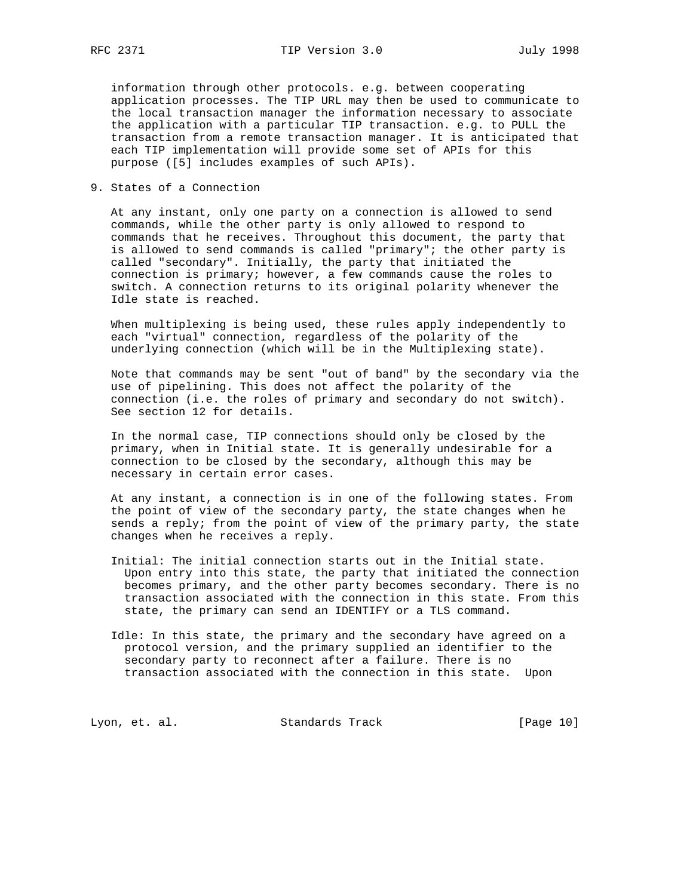information through other protocols. e.g. between cooperating application processes. The TIP URL may then be used to communicate to the local transaction manager the information necessary to associate the application with a particular TIP transaction. e.g. to PULL the transaction from a remote transaction manager. It is anticipated that each TIP implementation will provide some set of APIs for this purpose ([5] includes examples of such APIs).

9. States of a Connection

 At any instant, only one party on a connection is allowed to send commands, while the other party is only allowed to respond to commands that he receives. Throughout this document, the party that is allowed to send commands is called "primary"; the other party is called "secondary". Initially, the party that initiated the connection is primary; however, a few commands cause the roles to switch. A connection returns to its original polarity whenever the Idle state is reached.

 When multiplexing is being used, these rules apply independently to each "virtual" connection, regardless of the polarity of the underlying connection (which will be in the Multiplexing state).

 Note that commands may be sent "out of band" by the secondary via the use of pipelining. This does not affect the polarity of the connection (i.e. the roles of primary and secondary do not switch). See section 12 for details.

 In the normal case, TIP connections should only be closed by the primary, when in Initial state. It is generally undesirable for a connection to be closed by the secondary, although this may be necessary in certain error cases.

 At any instant, a connection is in one of the following states. From the point of view of the secondary party, the state changes when he sends a reply; from the point of view of the primary party, the state changes when he receives a reply.

- Initial: The initial connection starts out in the Initial state. Upon entry into this state, the party that initiated the connection becomes primary, and the other party becomes secondary. There is no transaction associated with the connection in this state. From this state, the primary can send an IDENTIFY or a TLS command.
- Idle: In this state, the primary and the secondary have agreed on a protocol version, and the primary supplied an identifier to the secondary party to reconnect after a failure. There is no transaction associated with the connection in this state. Upon

Lyon, et. al. Standards Track [Page 10]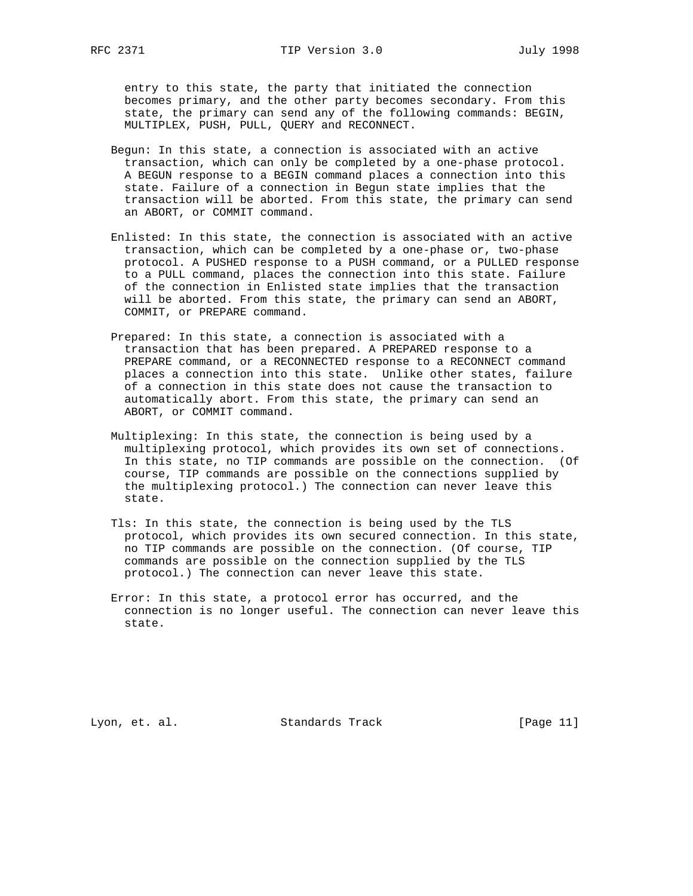entry to this state, the party that initiated the connection becomes primary, and the other party becomes secondary. From this state, the primary can send any of the following commands: BEGIN, MULTIPLEX, PUSH, PULL, QUERY and RECONNECT.

- Begun: In this state, a connection is associated with an active transaction, which can only be completed by a one-phase protocol. A BEGUN response to a BEGIN command places a connection into this state. Failure of a connection in Begun state implies that the transaction will be aborted. From this state, the primary can send an ABORT, or COMMIT command.
- Enlisted: In this state, the connection is associated with an active transaction, which can be completed by a one-phase or, two-phase protocol. A PUSHED response to a PUSH command, or a PULLED response to a PULL command, places the connection into this state. Failure of the connection in Enlisted state implies that the transaction will be aborted. From this state, the primary can send an ABORT, COMMIT, or PREPARE command.
- Prepared: In this state, a connection is associated with a transaction that has been prepared. A PREPARED response to a PREPARE command, or a RECONNECTED response to a RECONNECT command places a connection into this state. Unlike other states, failure of a connection in this state does not cause the transaction to automatically abort. From this state, the primary can send an ABORT, or COMMIT command.
- Multiplexing: In this state, the connection is being used by a multiplexing protocol, which provides its own set of connections. In this state, no TIP commands are possible on the connection. (Of course, TIP commands are possible on the connections supplied by the multiplexing protocol.) The connection can never leave this state.
- Tls: In this state, the connection is being used by the TLS protocol, which provides its own secured connection. In this state, no TIP commands are possible on the connection. (Of course, TIP commands are possible on the connection supplied by the TLS protocol.) The connection can never leave this state.
- Error: In this state, a protocol error has occurred, and the connection is no longer useful. The connection can never leave this state.

Lyon, et. al. Standards Track [Page 11]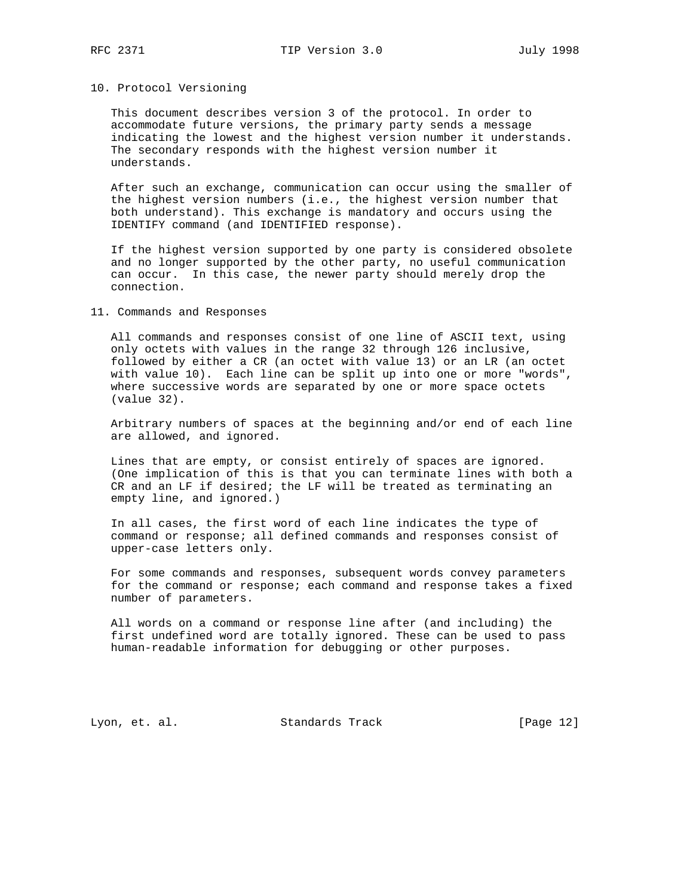# 10. Protocol Versioning

 This document describes version 3 of the protocol. In order to accommodate future versions, the primary party sends a message indicating the lowest and the highest version number it understands. The secondary responds with the highest version number it understands.

 After such an exchange, communication can occur using the smaller of the highest version numbers (i.e., the highest version number that both understand). This exchange is mandatory and occurs using the IDENTIFY command (and IDENTIFIED response).

 If the highest version supported by one party is considered obsolete and no longer supported by the other party, no useful communication can occur. In this case, the newer party should merely drop the connection.

#### 11. Commands and Responses

 All commands and responses consist of one line of ASCII text, using only octets with values in the range 32 through 126 inclusive, followed by either a CR (an octet with value 13) or an LR (an octet with value 10). Each line can be split up into one or more "words", where successive words are separated by one or more space octets (value 32).

 Arbitrary numbers of spaces at the beginning and/or end of each line are allowed, and ignored.

 Lines that are empty, or consist entirely of spaces are ignored. (One implication of this is that you can terminate lines with both a CR and an LF if desired; the LF will be treated as terminating an empty line, and ignored.)

 In all cases, the first word of each line indicates the type of command or response; all defined commands and responses consist of upper-case letters only.

 For some commands and responses, subsequent words convey parameters for the command or response; each command and response takes a fixed number of parameters.

 All words on a command or response line after (and including) the first undefined word are totally ignored. These can be used to pass human-readable information for debugging or other purposes.

Lyon, et. al. Standards Track [Page 12]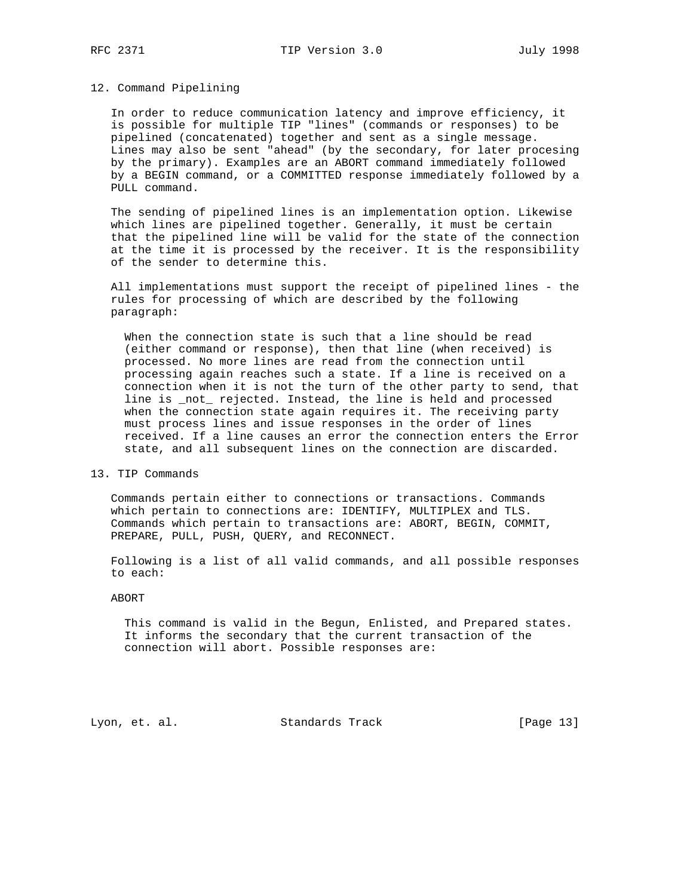## 12. Command Pipelining

 In order to reduce communication latency and improve efficiency, it is possible for multiple TIP "lines" (commands or responses) to be pipelined (concatenated) together and sent as a single message. Lines may also be sent "ahead" (by the secondary, for later procesing by the primary). Examples are an ABORT command immediately followed by a BEGIN command, or a COMMITTED response immediately followed by a PULL command.

 The sending of pipelined lines is an implementation option. Likewise which lines are pipelined together. Generally, it must be certain that the pipelined line will be valid for the state of the connection at the time it is processed by the receiver. It is the responsibility of the sender to determine this.

 All implementations must support the receipt of pipelined lines - the rules for processing of which are described by the following paragraph:

 When the connection state is such that a line should be read (either command or response), then that line (when received) is processed. No more lines are read from the connection until processing again reaches such a state. If a line is received on a connection when it is not the turn of the other party to send, that line is \_not\_ rejected. Instead, the line is held and processed when the connection state again requires it. The receiving party must process lines and issue responses in the order of lines received. If a line causes an error the connection enters the Error state, and all subsequent lines on the connection are discarded.

13. TIP Commands

 Commands pertain either to connections or transactions. Commands which pertain to connections are: IDENTIFY, MULTIPLEX and TLS. Commands which pertain to transactions are: ABORT, BEGIN, COMMIT, PREPARE, PULL, PUSH, QUERY, and RECONNECT.

 Following is a list of all valid commands, and all possible responses to each:

#### ABORT

 This command is valid in the Begun, Enlisted, and Prepared states. It informs the secondary that the current transaction of the connection will abort. Possible responses are:

Lyon, et. al. Standards Track [Page 13]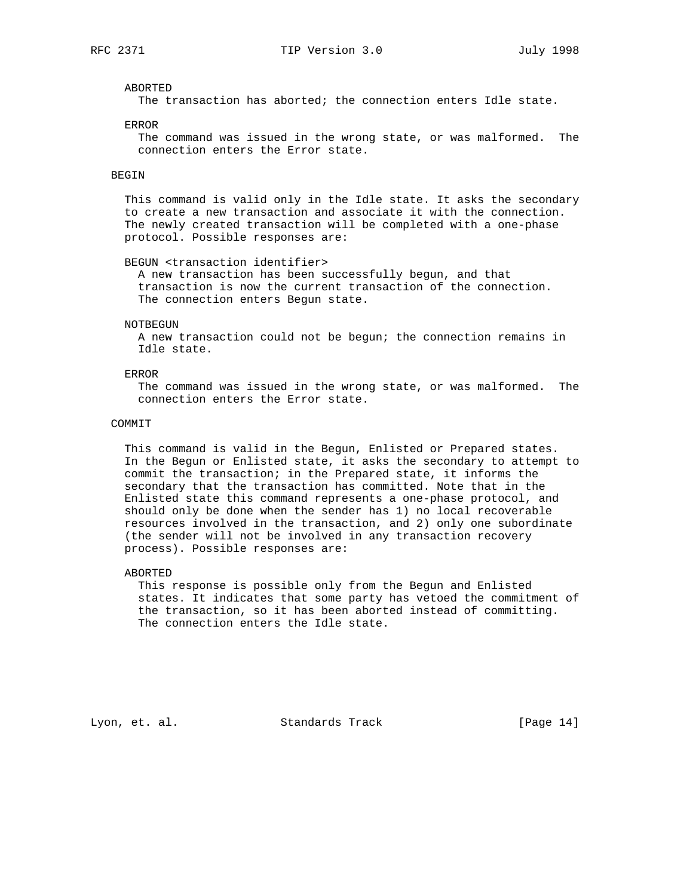# ABORTED

The transaction has aborted; the connection enters Idle state.

#### ERROR

 The command was issued in the wrong state, or was malformed. The connection enters the Error state.

# BEGIN

 This command is valid only in the Idle state. It asks the secondary to create a new transaction and associate it with the connection. The newly created transaction will be completed with a one-phase protocol. Possible responses are:

#### BEGUN <transaction identifier>

 A new transaction has been successfully begun, and that transaction is now the current transaction of the connection. The connection enters Begun state.

#### NOTBEGUN

 A new transaction could not be begun; the connection remains in Idle state.

# ERROR

 The command was issued in the wrong state, or was malformed. The connection enters the Error state.

#### COMMIT

 This command is valid in the Begun, Enlisted or Prepared states. In the Begun or Enlisted state, it asks the secondary to attempt to commit the transaction; in the Prepared state, it informs the secondary that the transaction has committed. Note that in the Enlisted state this command represents a one-phase protocol, and should only be done when the sender has 1) no local recoverable resources involved in the transaction, and 2) only one subordinate (the sender will not be involved in any transaction recovery process). Possible responses are:

#### ABORTED

 This response is possible only from the Begun and Enlisted states. It indicates that some party has vetoed the commitment of the transaction, so it has been aborted instead of committing. The connection enters the Idle state.

Lyon, et. al. Standards Track [Page 14]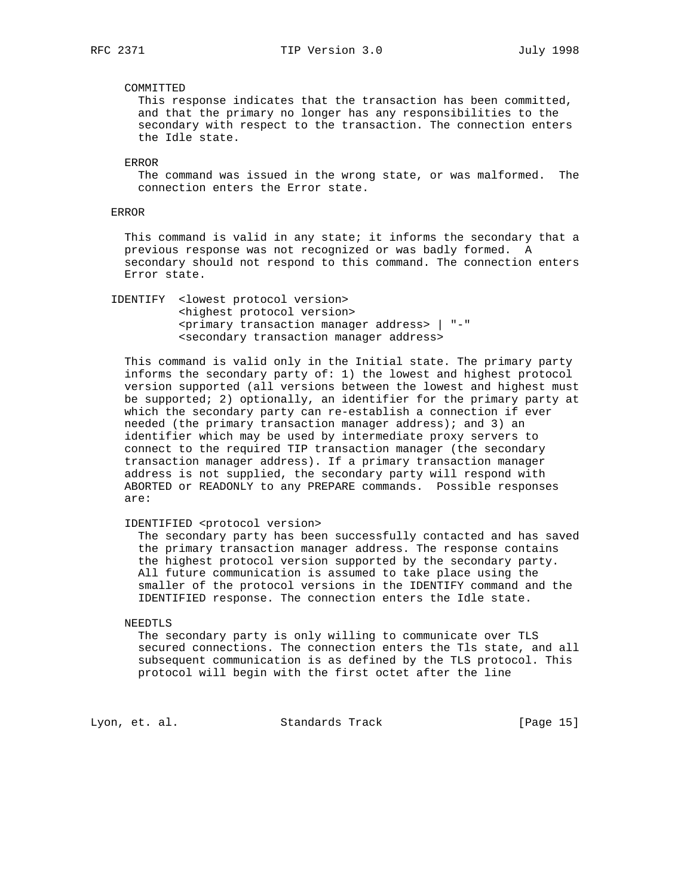# COMMITTED

 This response indicates that the transaction has been committed, and that the primary no longer has any responsibilities to the secondary with respect to the transaction. The connection enters the Idle state.

ERROR

 The command was issued in the wrong state, or was malformed. The connection enters the Error state.

# ERROR

This command is valid in any state; it informs the secondary that a previous response was not recognized or was badly formed. A secondary should not respond to this command. The connection enters Error state.

 IDENTIFY <lowest protocol version> <highest protocol version> <primary transaction manager address> | "-" <secondary transaction manager address>

 This command is valid only in the Initial state. The primary party informs the secondary party of: 1) the lowest and highest protocol version supported (all versions between the lowest and highest must be supported; 2) optionally, an identifier for the primary party at which the secondary party can re-establish a connection if ever needed (the primary transaction manager address); and 3) an identifier which may be used by intermediate proxy servers to connect to the required TIP transaction manager (the secondary transaction manager address). If a primary transaction manager address is not supplied, the secondary party will respond with ABORTED or READONLY to any PREPARE commands. Possible responses are:

IDENTIFIED <protocol version>

 The secondary party has been successfully contacted and has saved the primary transaction manager address. The response contains the highest protocol version supported by the secondary party. All future communication is assumed to take place using the smaller of the protocol versions in the IDENTIFY command and the IDENTIFIED response. The connection enters the Idle state.

#### NEEDTLS

 The secondary party is only willing to communicate over TLS secured connections. The connection enters the Tls state, and all subsequent communication is as defined by the TLS protocol. This protocol will begin with the first octet after the line

Lyon, et. al. Standards Track [Page 15]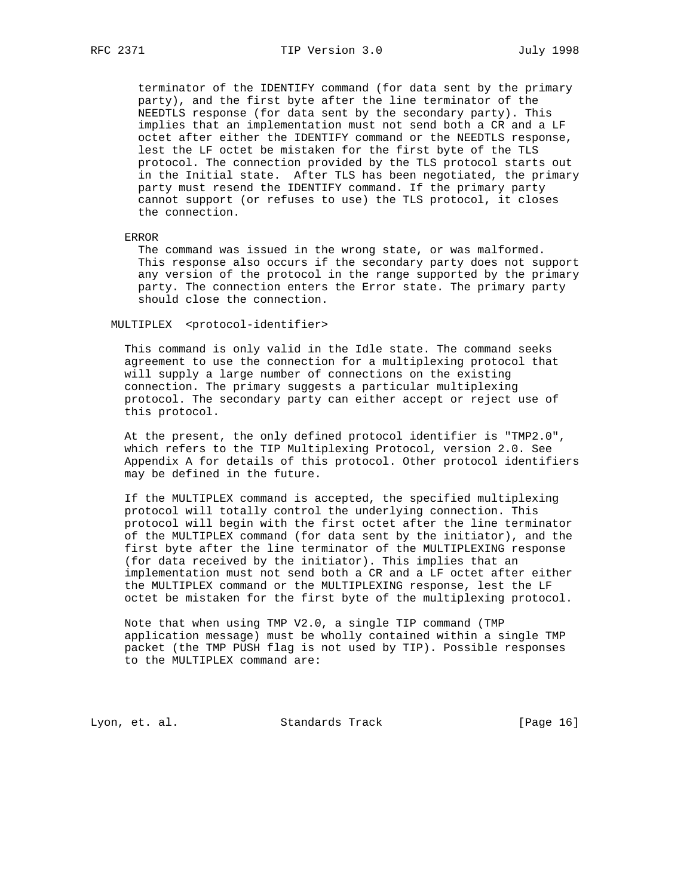terminator of the IDENTIFY command (for data sent by the primary party), and the first byte after the line terminator of the NEEDTLS response (for data sent by the secondary party). This implies that an implementation must not send both a CR and a LF octet after either the IDENTIFY command or the NEEDTLS response, lest the LF octet be mistaken for the first byte of the TLS protocol. The connection provided by the TLS protocol starts out in the Initial state. After TLS has been negotiated, the primary party must resend the IDENTIFY command. If the primary party cannot support (or refuses to use) the TLS protocol, it closes the connection.

#### ERROR

 The command was issued in the wrong state, or was malformed. This response also occurs if the secondary party does not support any version of the protocol in the range supported by the primary party. The connection enters the Error state. The primary party should close the connection.

#### MULTIPLEX <protocol-identifier>

 This command is only valid in the Idle state. The command seeks agreement to use the connection for a multiplexing protocol that will supply a large number of connections on the existing connection. The primary suggests a particular multiplexing protocol. The secondary party can either accept or reject use of this protocol.

 At the present, the only defined protocol identifier is "TMP2.0", which refers to the TIP Multiplexing Protocol, version 2.0. See Appendix A for details of this protocol. Other protocol identifiers may be defined in the future.

 If the MULTIPLEX command is accepted, the specified multiplexing protocol will totally control the underlying connection. This protocol will begin with the first octet after the line terminator of the MULTIPLEX command (for data sent by the initiator), and the first byte after the line terminator of the MULTIPLEXING response (for data received by the initiator). This implies that an implementation must not send both a CR and a LF octet after either the MULTIPLEX command or the MULTIPLEXING response, lest the LF octet be mistaken for the first byte of the multiplexing protocol.

 Note that when using TMP V2.0, a single TIP command (TMP application message) must be wholly contained within a single TMP packet (the TMP PUSH flag is not used by TIP). Possible responses to the MULTIPLEX command are:

Lyon, et. al. Standards Track [Page 16]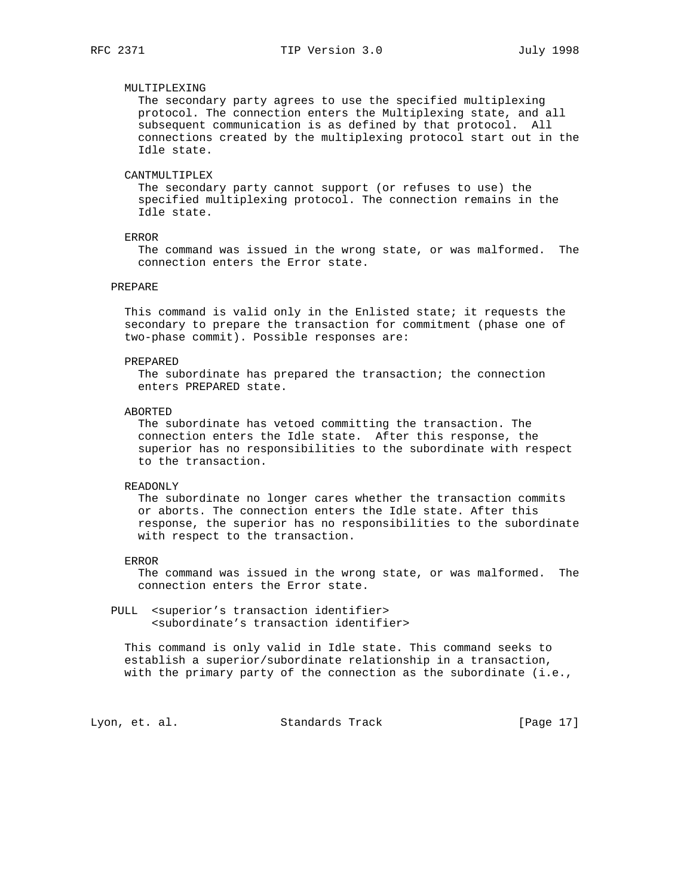# MULTIPLEXING

 The secondary party agrees to use the specified multiplexing protocol. The connection enters the Multiplexing state, and all subsequent communication is as defined by that protocol. All connections created by the multiplexing protocol start out in the Idle state.

# CANTMULTIPLEX

 The secondary party cannot support (or refuses to use) the specified multiplexing protocol. The connection remains in the Idle state.

## ERROR

 The command was issued in the wrong state, or was malformed. The connection enters the Error state.

## PREPARE

 This command is valid only in the Enlisted state; it requests the secondary to prepare the transaction for commitment (phase one of two-phase commit). Possible responses are:

### PREPARED

 The subordinate has prepared the transaction; the connection enters PREPARED state.

#### ABORTED

 The subordinate has vetoed committing the transaction. The connection enters the Idle state. After this response, the superior has no responsibilities to the subordinate with respect to the transaction.

#### READONLY

 The subordinate no longer cares whether the transaction commits or aborts. The connection enters the Idle state. After this response, the superior has no responsibilities to the subordinate with respect to the transaction.

### ERROR

 The command was issued in the wrong state, or was malformed. The connection enters the Error state.

 PULL <superior's transaction identifier> <subordinate's transaction identifier>

 This command is only valid in Idle state. This command seeks to establish a superior/subordinate relationship in a transaction, with the primary party of the connection as the subordinate  $(i.e.,$ 

Lyon, et. al. Standards Track [Page 17]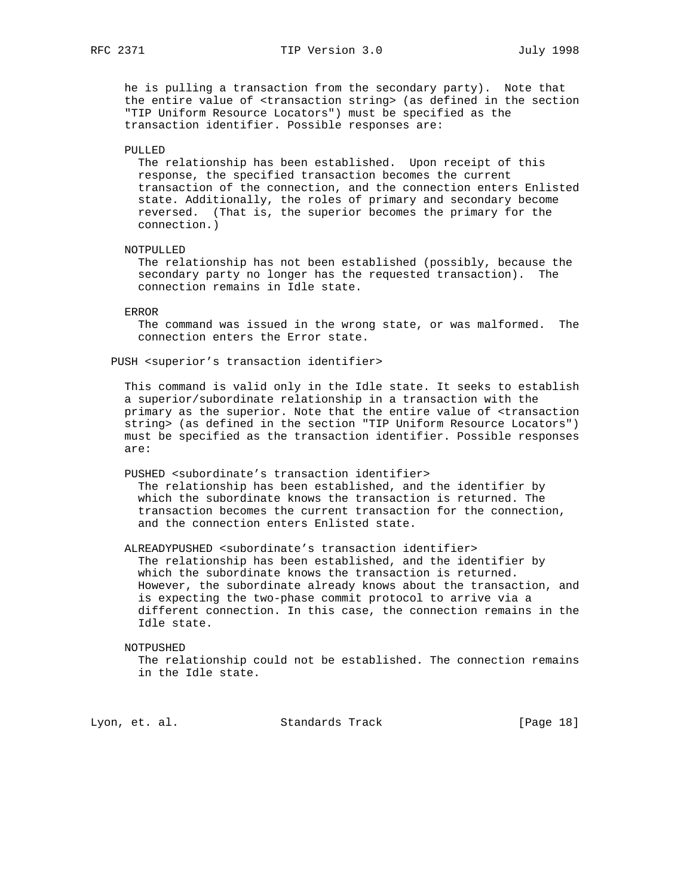he is pulling a transaction from the secondary party). Note that the entire value of <transaction string> (as defined in the section "TIP Uniform Resource Locators") must be specified as the transaction identifier. Possible responses are:

PULLED

 The relationship has been established. Upon receipt of this response, the specified transaction becomes the current transaction of the connection, and the connection enters Enlisted state. Additionally, the roles of primary and secondary become reversed. (That is, the superior becomes the primary for the connection.)

## NOTPULLED

 The relationship has not been established (possibly, because the secondary party no longer has the requested transaction). The connection remains in Idle state.

#### ERROR

 The command was issued in the wrong state, or was malformed. The connection enters the Error state.

PUSH <superior's transaction identifier>

 This command is valid only in the Idle state. It seeks to establish a superior/subordinate relationship in a transaction with the primary as the superior. Note that the entire value of <transaction string> (as defined in the section "TIP Uniform Resource Locators") must be specified as the transaction identifier. Possible responses are:

PUSHED <subordinate's transaction identifier>

 The relationship has been established, and the identifier by which the subordinate knows the transaction is returned. The transaction becomes the current transaction for the connection, and the connection enters Enlisted state.

 ALREADYPUSHED <subordinate's transaction identifier> The relationship has been established, and the identifier by which the subordinate knows the transaction is returned. However, the subordinate already knows about the transaction, and is expecting the two-phase commit protocol to arrive via a different connection. In this case, the connection remains in the Idle state.

#### NOTPUSHED

 The relationship could not be established. The connection remains in the Idle state.

Lyon, et. al. Standards Track [Page 18]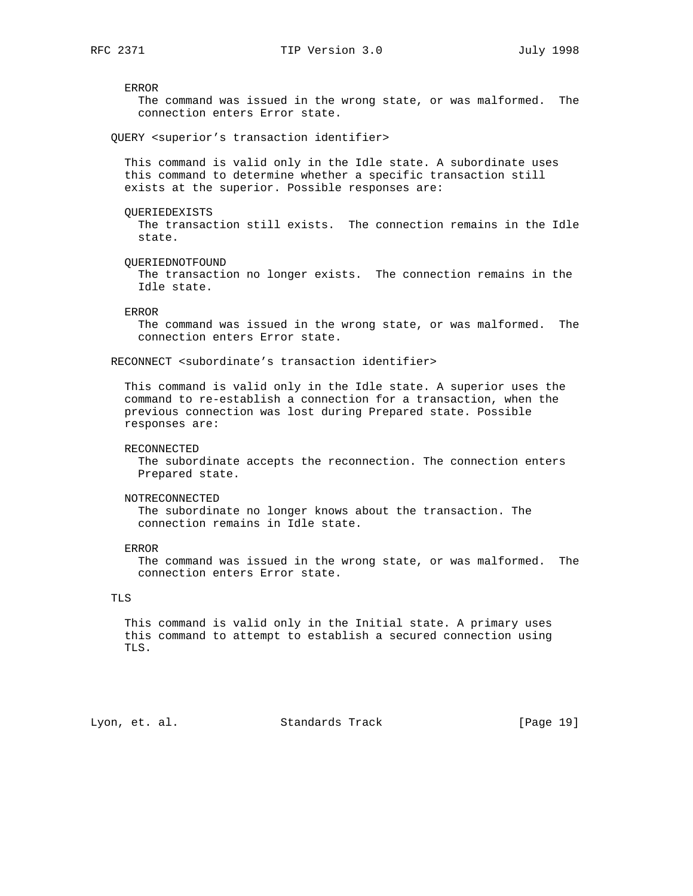ERROR The command was issued in the wrong state, or was malformed. The connection enters Error state. QUERY <superior's transaction identifier> This command is valid only in the Idle state. A subordinate uses this command to determine whether a specific transaction still exists at the superior. Possible responses are: QUERIEDEXISTS The transaction still exists. The connection remains in the Idle state. QUERIEDNOTFOUND The transaction no longer exists. The connection remains in the Idle state. ERROR The command was issued in the wrong state, or was malformed. The connection enters Error state. RECONNECT <subordinate's transaction identifier> This command is valid only in the Idle state. A superior uses the command to re-establish a connection for a transaction, when the previous connection was lost during Prepared state. Possible responses are: RECONNECTED The subordinate accepts the reconnection. The connection enters Prepared state. NOTRECONNECTED The subordinate no longer knows about the transaction. The connection remains in Idle state. ERROR The command was issued in the wrong state, or was malformed. The connection enters Error state. TLS This command is valid only in the Initial state. A primary uses this command to attempt to establish a secured connection using TLS. Lyon, et. al. Standards Track [Page 19]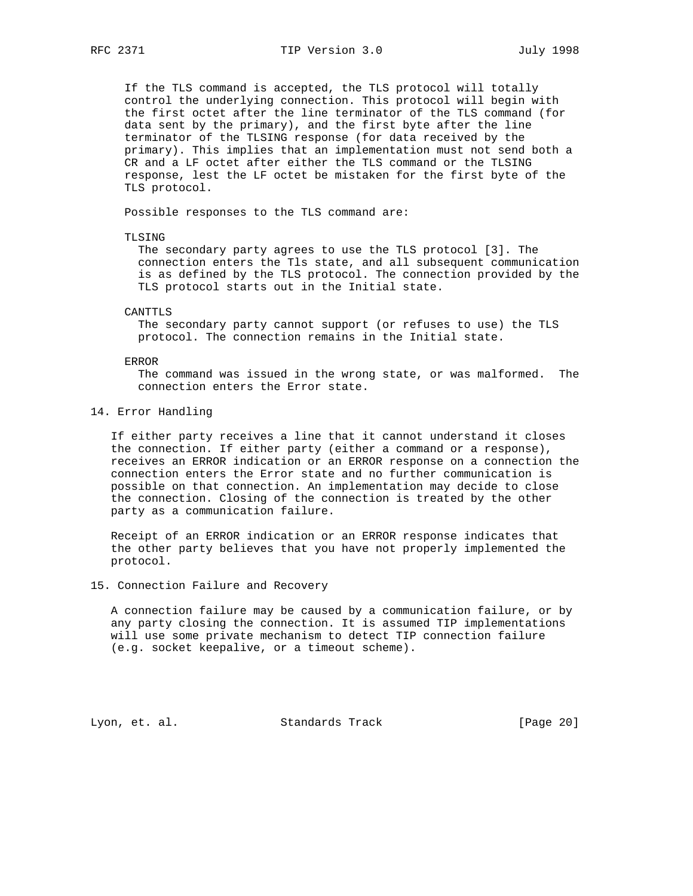If the TLS command is accepted, the TLS protocol will totally control the underlying connection. This protocol will begin with the first octet after the line terminator of the TLS command (for data sent by the primary), and the first byte after the line terminator of the TLSING response (for data received by the primary). This implies that an implementation must not send both a CR and a LF octet after either the TLS command or the TLSING response, lest the LF octet be mistaken for the first byte of the TLS protocol.

Possible responses to the TLS command are:

#### TLSING

 The secondary party agrees to use the TLS protocol [3]. The connection enters the Tls state, and all subsequent communication is as defined by the TLS protocol. The connection provided by the TLS protocol starts out in the Initial state.

#### CANTTLS

 The secondary party cannot support (or refuses to use) the TLS protocol. The connection remains in the Initial state.

#### ERROR

 The command was issued in the wrong state, or was malformed. The connection enters the Error state.

#### 14. Error Handling

 If either party receives a line that it cannot understand it closes the connection. If either party (either a command or a response), receives an ERROR indication or an ERROR response on a connection the connection enters the Error state and no further communication is possible on that connection. An implementation may decide to close the connection. Closing of the connection is treated by the other party as a communication failure.

 Receipt of an ERROR indication or an ERROR response indicates that the other party believes that you have not properly implemented the protocol.

# 15. Connection Failure and Recovery

 A connection failure may be caused by a communication failure, or by any party closing the connection. It is assumed TIP implementations will use some private mechanism to detect TIP connection failure (e.g. socket keepalive, or a timeout scheme).

Lyon, et. al. Standards Track [Page 20]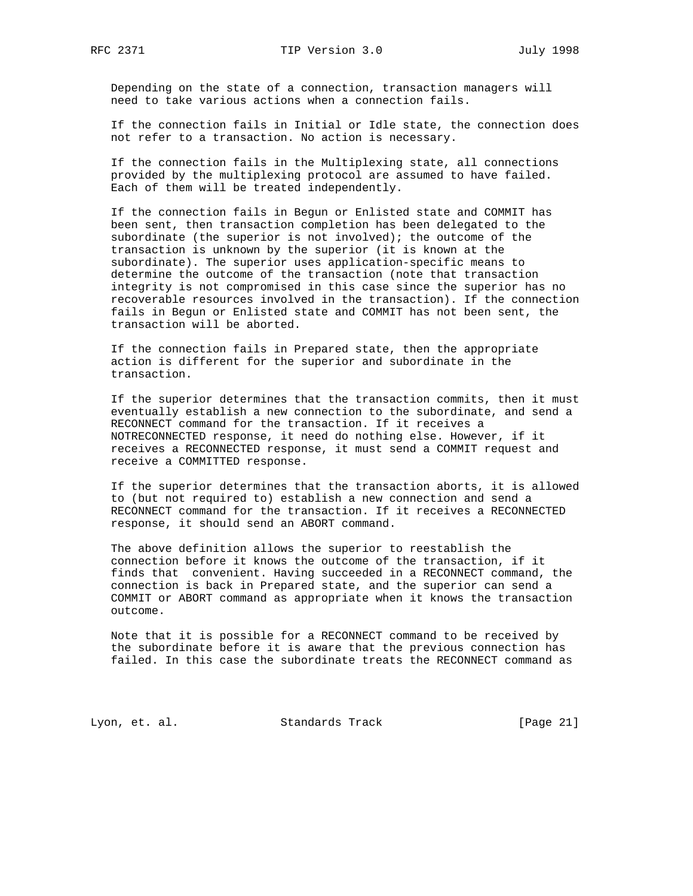Depending on the state of a connection, transaction managers will need to take various actions when a connection fails.

 If the connection fails in Initial or Idle state, the connection does not refer to a transaction. No action is necessary.

 If the connection fails in the Multiplexing state, all connections provided by the multiplexing protocol are assumed to have failed. Each of them will be treated independently.

 If the connection fails in Begun or Enlisted state and COMMIT has been sent, then transaction completion has been delegated to the subordinate (the superior is not involved); the outcome of the transaction is unknown by the superior (it is known at the subordinate). The superior uses application-specific means to determine the outcome of the transaction (note that transaction integrity is not compromised in this case since the superior has no recoverable resources involved in the transaction). If the connection fails in Begun or Enlisted state and COMMIT has not been sent, the transaction will be aborted.

 If the connection fails in Prepared state, then the appropriate action is different for the superior and subordinate in the transaction.

 If the superior determines that the transaction commits, then it must eventually establish a new connection to the subordinate, and send a RECONNECT command for the transaction. If it receives a NOTRECONNECTED response, it need do nothing else. However, if it receives a RECONNECTED response, it must send a COMMIT request and receive a COMMITTED response.

 If the superior determines that the transaction aborts, it is allowed to (but not required to) establish a new connection and send a RECONNECT command for the transaction. If it receives a RECONNECTED response, it should send an ABORT command.

 The above definition allows the superior to reestablish the connection before it knows the outcome of the transaction, if it finds that convenient. Having succeeded in a RECONNECT command, the connection is back in Prepared state, and the superior can send a COMMIT or ABORT command as appropriate when it knows the transaction outcome.

 Note that it is possible for a RECONNECT command to be received by the subordinate before it is aware that the previous connection has failed. In this case the subordinate treats the RECONNECT command as

Lyon, et. al. Standards Track [Page 21]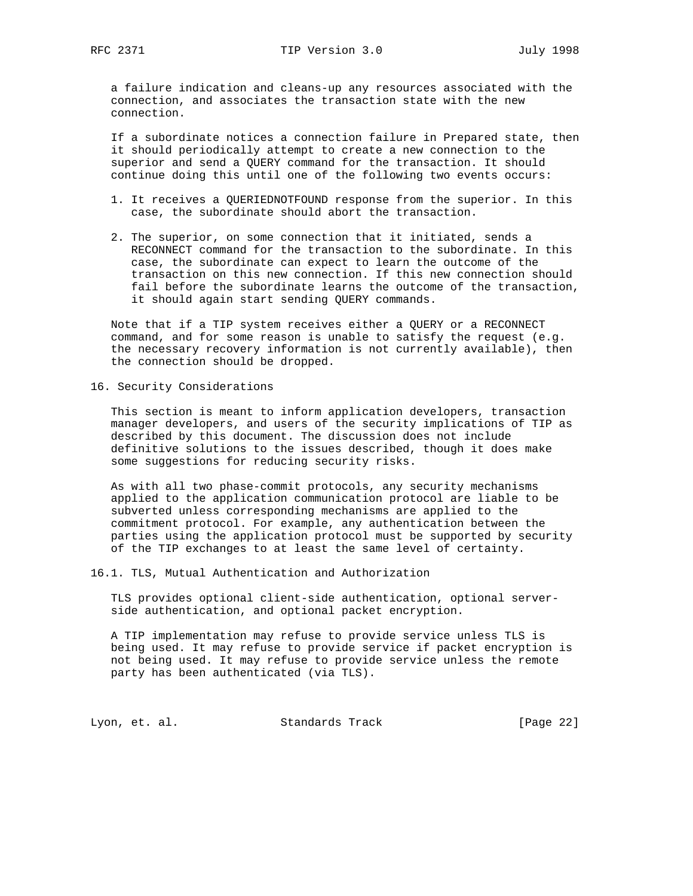a failure indication and cleans-up any resources associated with the connection, and associates the transaction state with the new connection.

 If a subordinate notices a connection failure in Prepared state, then it should periodically attempt to create a new connection to the superior and send a QUERY command for the transaction. It should continue doing this until one of the following two events occurs:

- 1. It receives a QUERIEDNOTFOUND response from the superior. In this case, the subordinate should abort the transaction.
- 2. The superior, on some connection that it initiated, sends a RECONNECT command for the transaction to the subordinate. In this case, the subordinate can expect to learn the outcome of the transaction on this new connection. If this new connection should fail before the subordinate learns the outcome of the transaction, it should again start sending QUERY commands.

 Note that if a TIP system receives either a QUERY or a RECONNECT command, and for some reason is unable to satisfy the request (e.g. the necessary recovery information is not currently available), then the connection should be dropped.

16. Security Considerations

 This section is meant to inform application developers, transaction manager developers, and users of the security implications of TIP as described by this document. The discussion does not include definitive solutions to the issues described, though it does make some suggestions for reducing security risks.

 As with all two phase-commit protocols, any security mechanisms applied to the application communication protocol are liable to be subverted unless corresponding mechanisms are applied to the commitment protocol. For example, any authentication between the parties using the application protocol must be supported by security of the TIP exchanges to at least the same level of certainty.

16.1. TLS, Mutual Authentication and Authorization

 TLS provides optional client-side authentication, optional server side authentication, and optional packet encryption.

 A TIP implementation may refuse to provide service unless TLS is being used. It may refuse to provide service if packet encryption is not being used. It may refuse to provide service unless the remote party has been authenticated (via TLS).

Lyon, et. al. Standards Track [Page 22]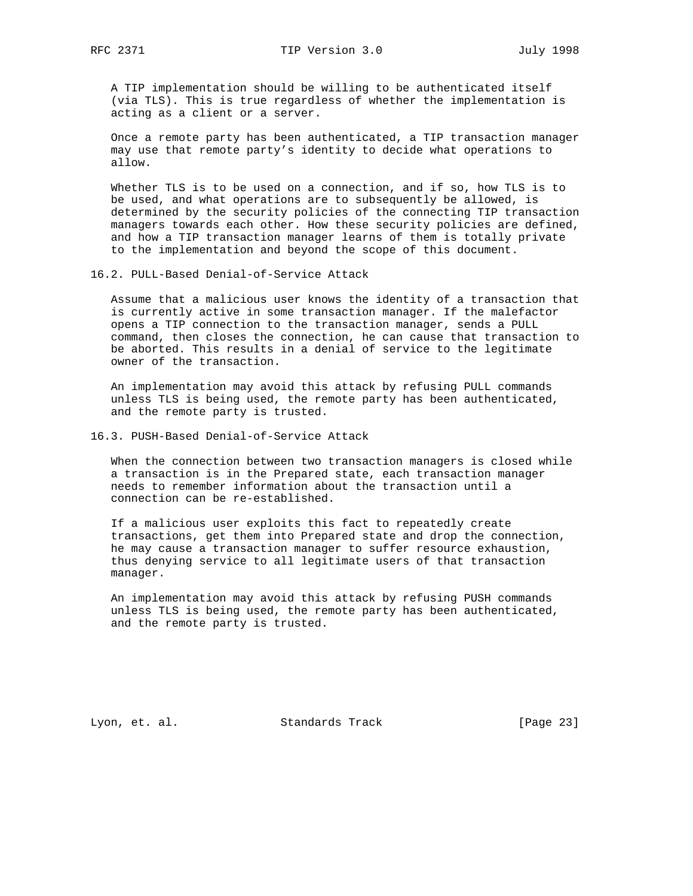A TIP implementation should be willing to be authenticated itself (via TLS). This is true regardless of whether the implementation is acting as a client or a server.

 Once a remote party has been authenticated, a TIP transaction manager may use that remote party's identity to decide what operations to allow.

 Whether TLS is to be used on a connection, and if so, how TLS is to be used, and what operations are to subsequently be allowed, is determined by the security policies of the connecting TIP transaction managers towards each other. How these security policies are defined, and how a TIP transaction manager learns of them is totally private to the implementation and beyond the scope of this document.

16.2. PULL-Based Denial-of-Service Attack

 Assume that a malicious user knows the identity of a transaction that is currently active in some transaction manager. If the malefactor opens a TIP connection to the transaction manager, sends a PULL command, then closes the connection, he can cause that transaction to be aborted. This results in a denial of service to the legitimate owner of the transaction.

 An implementation may avoid this attack by refusing PULL commands unless TLS is being used, the remote party has been authenticated, and the remote party is trusted.

16.3. PUSH-Based Denial-of-Service Attack

 When the connection between two transaction managers is closed while a transaction is in the Prepared state, each transaction manager needs to remember information about the transaction until a connection can be re-established.

 If a malicious user exploits this fact to repeatedly create transactions, get them into Prepared state and drop the connection, he may cause a transaction manager to suffer resource exhaustion, thus denying service to all legitimate users of that transaction manager.

 An implementation may avoid this attack by refusing PUSH commands unless TLS is being used, the remote party has been authenticated, and the remote party is trusted.

Lyon, et. al. Standards Track [Page 23]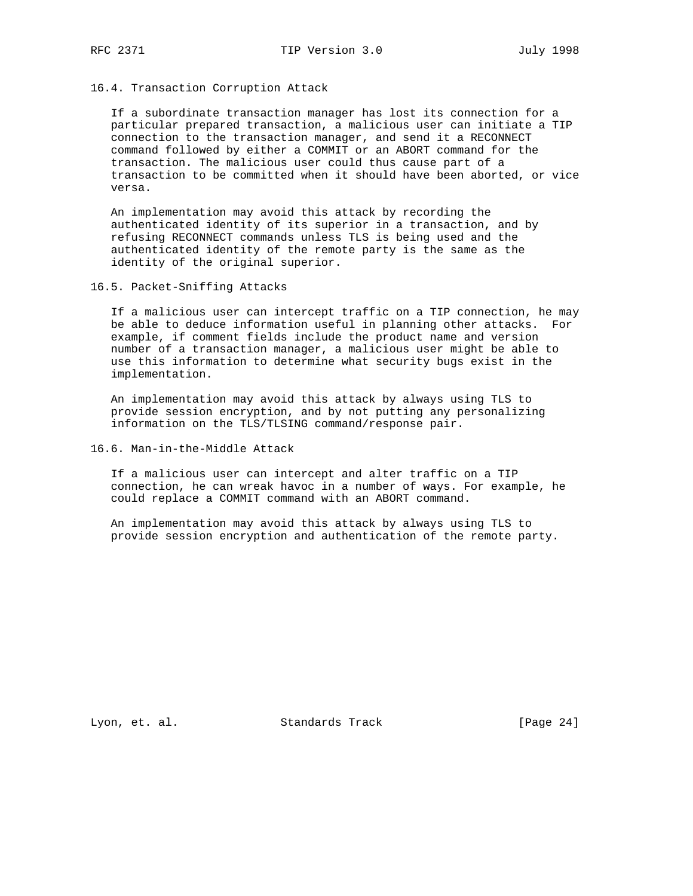16.4. Transaction Corruption Attack

 If a subordinate transaction manager has lost its connection for a particular prepared transaction, a malicious user can initiate a TIP connection to the transaction manager, and send it a RECONNECT command followed by either a COMMIT or an ABORT command for the transaction. The malicious user could thus cause part of a transaction to be committed when it should have been aborted, or vice versa.

 An implementation may avoid this attack by recording the authenticated identity of its superior in a transaction, and by refusing RECONNECT commands unless TLS is being used and the authenticated identity of the remote party is the same as the identity of the original superior.

16.5. Packet-Sniffing Attacks

 If a malicious user can intercept traffic on a TIP connection, he may be able to deduce information useful in planning other attacks. For example, if comment fields include the product name and version number of a transaction manager, a malicious user might be able to use this information to determine what security bugs exist in the implementation.

 An implementation may avoid this attack by always using TLS to provide session encryption, and by not putting any personalizing information on the TLS/TLSING command/response pair.

16.6. Man-in-the-Middle Attack

 If a malicious user can intercept and alter traffic on a TIP connection, he can wreak havoc in a number of ways. For example, he could replace a COMMIT command with an ABORT command.

 An implementation may avoid this attack by always using TLS to provide session encryption and authentication of the remote party.

Lyon, et. al. Standards Track [Page 24]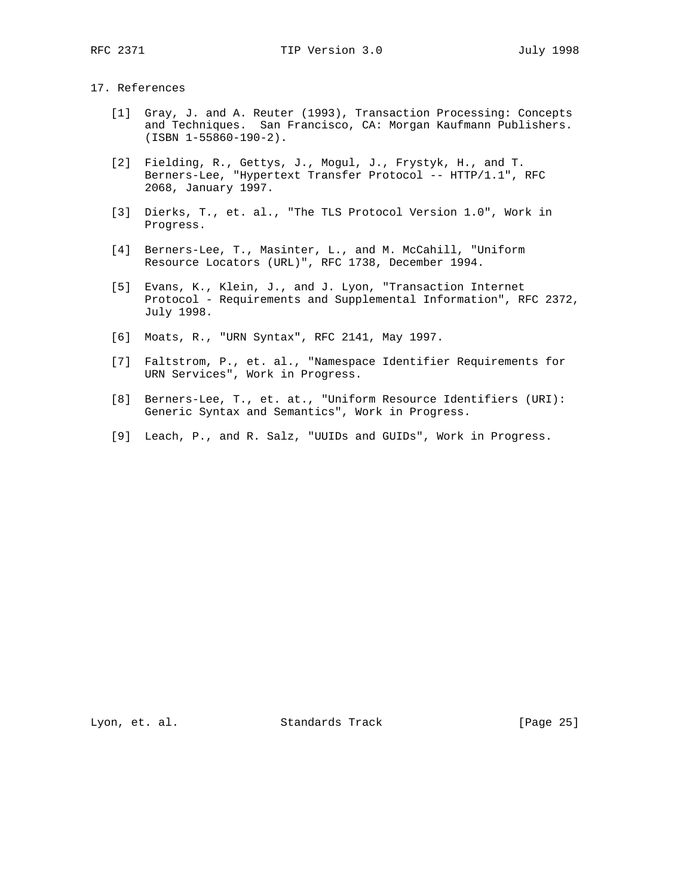# 17. References

- [1] Gray, J. and A. Reuter (1993), Transaction Processing: Concepts and Techniques. San Francisco, CA: Morgan Kaufmann Publishers. (ISBN 1-55860-190-2).
- [2] Fielding, R., Gettys, J., Mogul, J., Frystyk, H., and T. Berners-Lee, "Hypertext Transfer Protocol -- HTTP/1.1", RFC 2068, January 1997.
- [3] Dierks, T., et. al., "The TLS Protocol Version 1.0", Work in Progress.
- [4] Berners-Lee, T., Masinter, L., and M. McCahill, "Uniform Resource Locators (URL)", RFC 1738, December 1994.
- [5] Evans, K., Klein, J., and J. Lyon, "Transaction Internet Protocol - Requirements and Supplemental Information", RFC 2372, July 1998.
- [6] Moats, R., "URN Syntax", RFC 2141, May 1997.
- [7] Faltstrom, P., et. al., "Namespace Identifier Requirements for URN Services", Work in Progress.
- [8] Berners-Lee, T., et. at., "Uniform Resource Identifiers (URI): Generic Syntax and Semantics", Work in Progress.
- [9] Leach, P., and R. Salz, "UUIDs and GUIDs", Work in Progress.

Lyon, et. al. Standards Track [Page 25]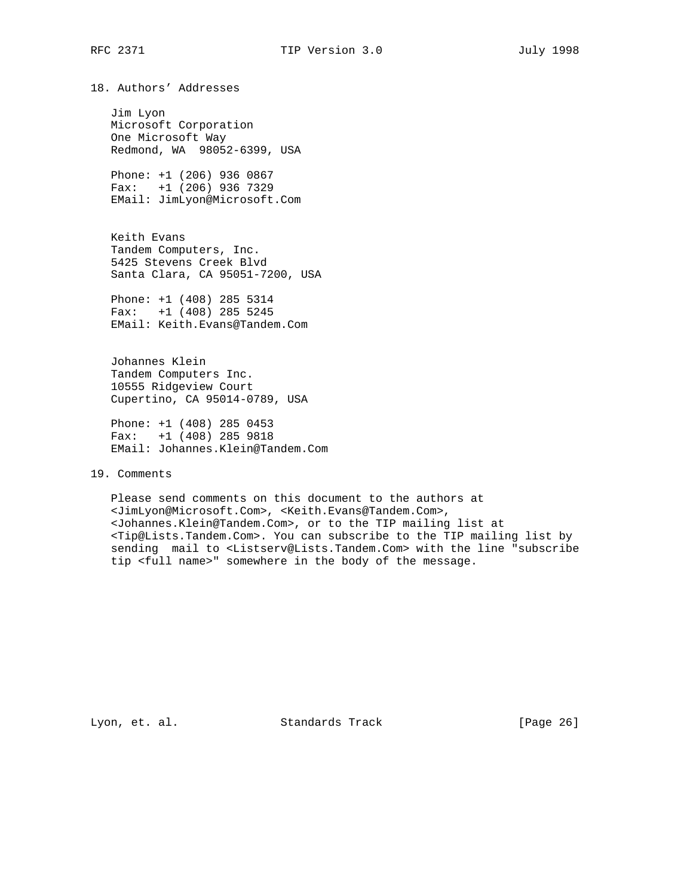18. Authors' Addresses

 Jim Lyon Microsoft Corporation One Microsoft Way Redmond, WA 98052-6399, USA

 Phone: +1 (206) 936 0867 Fax: +1 (206) 936 7329 EMail: JimLyon@Microsoft.Com

 Keith Evans Tandem Computers, Inc. 5425 Stevens Creek Blvd Santa Clara, CA 95051-7200, USA

 Phone: +1 (408) 285 5314 Fax: +1 (408) 285 5245 EMail: Keith.Evans@Tandem.Com

 Johannes Klein Tandem Computers Inc. 10555 Ridgeview Court Cupertino, CA 95014-0789, USA

 Phone: +1 (408) 285 0453 Fax: +1 (408) 285 9818 EMail: Johannes.Klein@Tandem.Com

19. Comments

 Please send comments on this document to the authors at <JimLyon@Microsoft.Com>, <Keith.Evans@Tandem.Com>, <Johannes.Klein@Tandem.Com>, or to the TIP mailing list at <Tip@Lists.Tandem.Com>. You can subscribe to the TIP mailing list by sending mail to <Listserv@Lists.Tandem.Com> with the line "subscribe tip <full name>" somewhere in the body of the message.

Lyon, et. al. Standards Track [Page 26]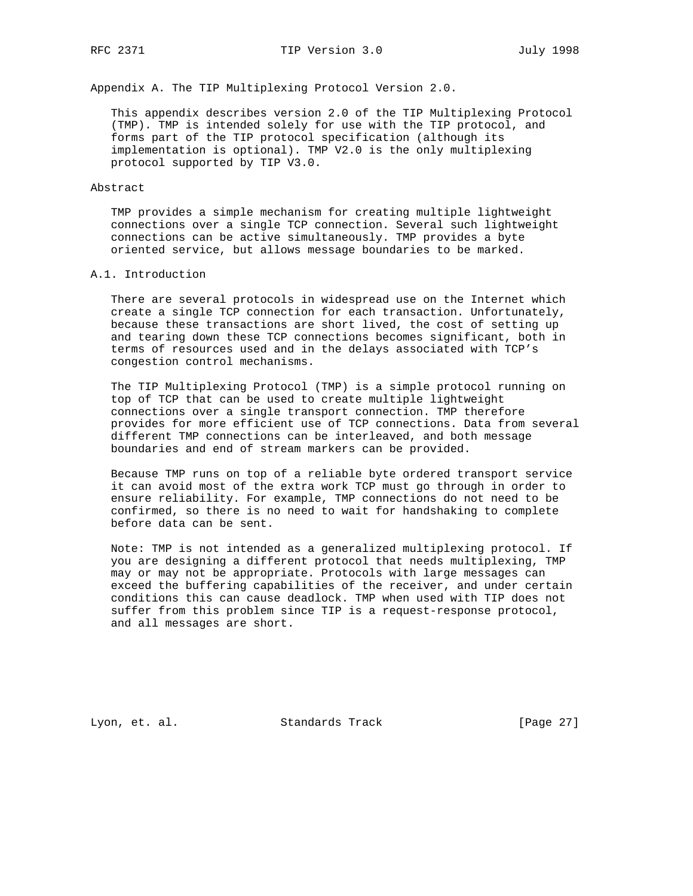Appendix A. The TIP Multiplexing Protocol Version 2.0.

 This appendix describes version 2.0 of the TIP Multiplexing Protocol (TMP). TMP is intended solely for use with the TIP protocol, and forms part of the TIP protocol specification (although its implementation is optional). TMP V2.0 is the only multiplexing protocol supported by TIP V3.0.

#### Abstract

 TMP provides a simple mechanism for creating multiple lightweight connections over a single TCP connection. Several such lightweight connections can be active simultaneously. TMP provides a byte oriented service, but allows message boundaries to be marked.

# A.1. Introduction

 There are several protocols in widespread use on the Internet which create a single TCP connection for each transaction. Unfortunately, because these transactions are short lived, the cost of setting up and tearing down these TCP connections becomes significant, both in terms of resources used and in the delays associated with TCP's congestion control mechanisms.

 The TIP Multiplexing Protocol (TMP) is a simple protocol running on top of TCP that can be used to create multiple lightweight connections over a single transport connection. TMP therefore provides for more efficient use of TCP connections. Data from several different TMP connections can be interleaved, and both message boundaries and end of stream markers can be provided.

 Because TMP runs on top of a reliable byte ordered transport service it can avoid most of the extra work TCP must go through in order to ensure reliability. For example, TMP connections do not need to be confirmed, so there is no need to wait for handshaking to complete before data can be sent.

 Note: TMP is not intended as a generalized multiplexing protocol. If you are designing a different protocol that needs multiplexing, TMP may or may not be appropriate. Protocols with large messages can exceed the buffering capabilities of the receiver, and under certain conditions this can cause deadlock. TMP when used with TIP does not suffer from this problem since TIP is a request-response protocol, and all messages are short.

Lyon, et. al. Standards Track [Page 27]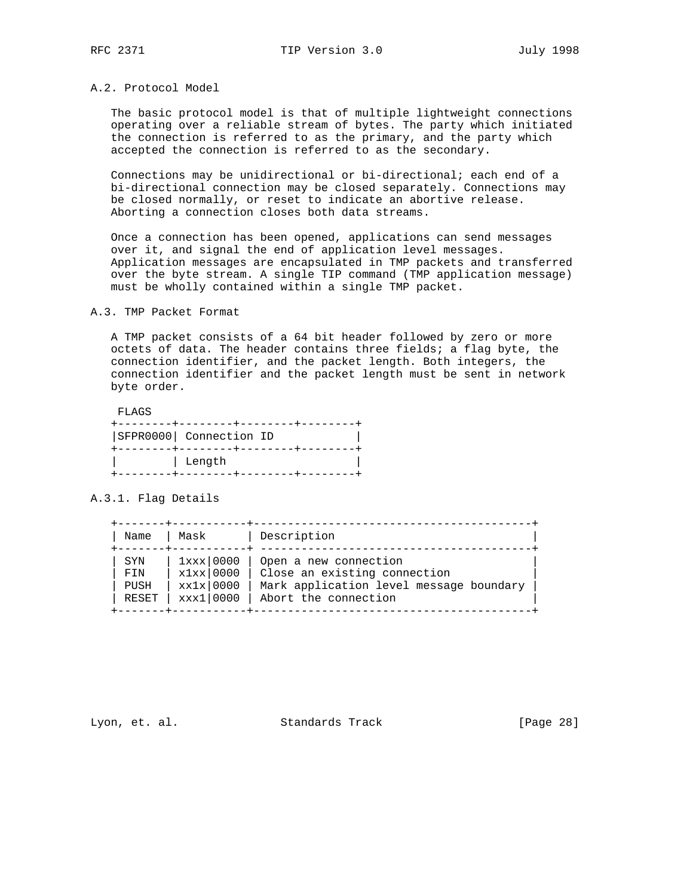# A.2. Protocol Model

 The basic protocol model is that of multiple lightweight connections operating over a reliable stream of bytes. The party which initiated the connection is referred to as the primary, and the party which accepted the connection is referred to as the secondary.

 Connections may be unidirectional or bi-directional; each end of a bi-directional connection may be closed separately. Connections may be closed normally, or reset to indicate an abortive release. Aborting a connection closes both data streams.

 Once a connection has been opened, applications can send messages over it, and signal the end of application level messages. Application messages are encapsulated in TMP packets and transferred over the byte stream. A single TIP command (TMP application message) must be wholly contained within a single TMP packet.

A.3. TMP Packet Format

 A TMP packet consists of a 64 bit header followed by zero or more octets of data. The header contains three fields; a flag byte, the connection identifier, and the packet length. Both integers, the connection identifier and the packet length must be sent in network byte order.

FLAGS

| SFPR0000  Connection ID |  |
|-------------------------|--|
| ∣ Length                |  |

A.3.1. Flag Details

| Name       | Mask            | Description                             |
|------------|-----------------|-----------------------------------------|
| <b>SYN</b> | $1$ xxx $10000$ | Open a new connection                   |
| FTN        | $x1xx$ 0000     | Close an existing connection            |
| PUSH       | xx1x 0000       | Mark application level message boundary |
| RESET      | xxx1 0000       | Abort the connection                    |

Lyon, et. al. Standards Track [Page 28]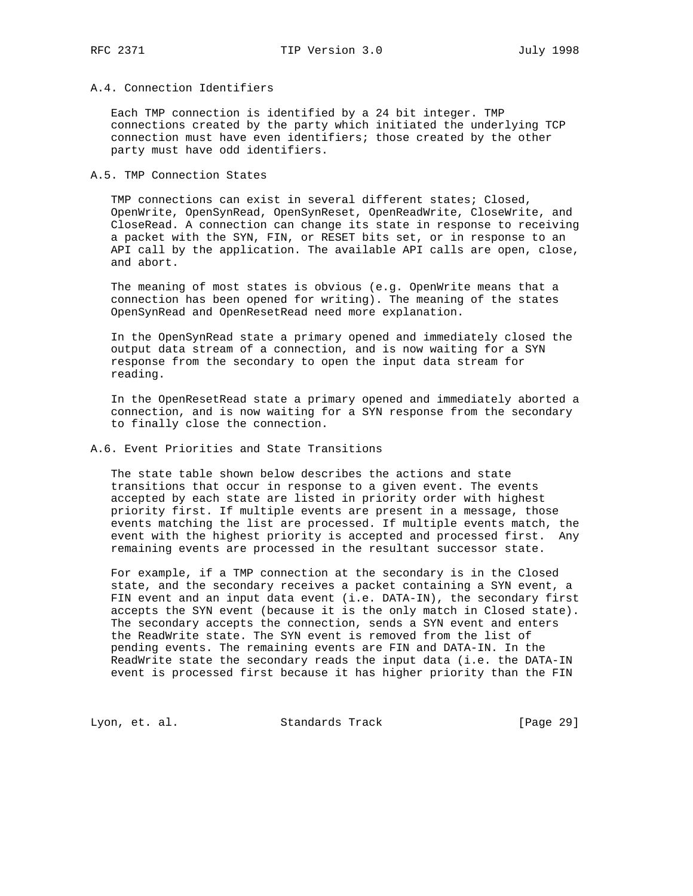# A.4. Connection Identifiers

 Each TMP connection is identified by a 24 bit integer. TMP connections created by the party which initiated the underlying TCP connection must have even identifiers; those created by the other party must have odd identifiers.

#### A.5. TMP Connection States

 TMP connections can exist in several different states; Closed, OpenWrite, OpenSynRead, OpenSynReset, OpenReadWrite, CloseWrite, and CloseRead. A connection can change its state in response to receiving a packet with the SYN, FIN, or RESET bits set, or in response to an API call by the application. The available API calls are open, close, and abort.

 The meaning of most states is obvious (e.g. OpenWrite means that a connection has been opened for writing). The meaning of the states OpenSynRead and OpenResetRead need more explanation.

 In the OpenSynRead state a primary opened and immediately closed the output data stream of a connection, and is now waiting for a SYN response from the secondary to open the input data stream for reading.

 In the OpenResetRead state a primary opened and immediately aborted a connection, and is now waiting for a SYN response from the secondary to finally close the connection.

# A.6. Event Priorities and State Transitions

 The state table shown below describes the actions and state transitions that occur in response to a given event. The events accepted by each state are listed in priority order with highest priority first. If multiple events are present in a message, those events matching the list are processed. If multiple events match, the event with the highest priority is accepted and processed first. Any remaining events are processed in the resultant successor state.

 For example, if a TMP connection at the secondary is in the Closed state, and the secondary receives a packet containing a SYN event, a FIN event and an input data event (i.e. DATA-IN), the secondary first accepts the SYN event (because it is the only match in Closed state). The secondary accepts the connection, sends a SYN event and enters the ReadWrite state. The SYN event is removed from the list of pending events. The remaining events are FIN and DATA-IN. In the ReadWrite state the secondary reads the input data (i.e. the DATA-IN event is processed first because it has higher priority than the FIN

Lyon, et. al. Standards Track [Page 29]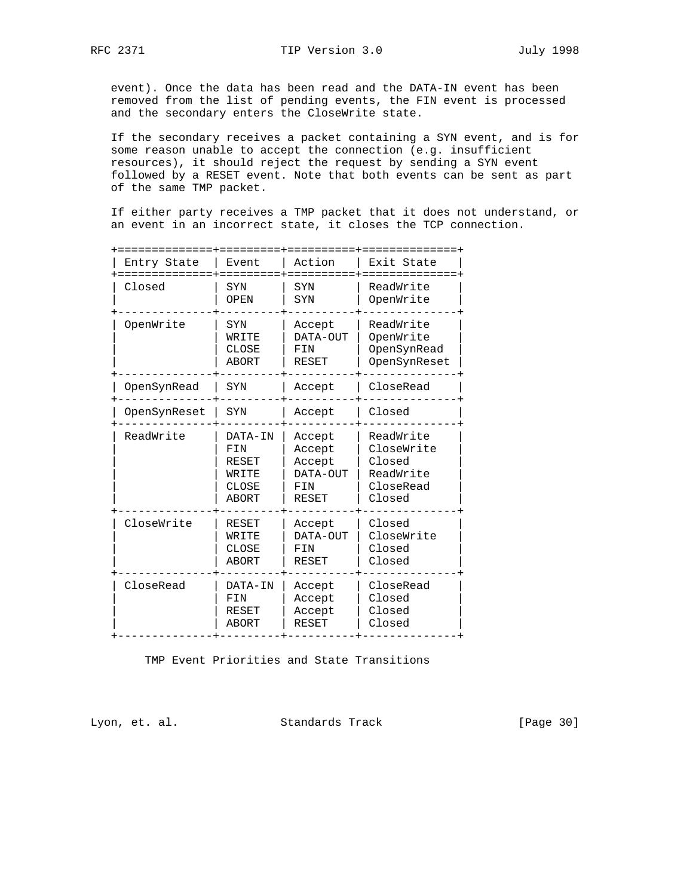event). Once the data has been read and the DATA-IN event has been removed from the list of pending events, the FIN event is processed and the secondary enters the CloseWrite state.

 If the secondary receives a packet containing a SYN event, and is for some reason unable to accept the connection (e.g. insufficient resources), it should reject the request by sending a SYN event followed by a RESET event. Note that both events can be sent as part of the same TMP packet.

 If either party receives a TMP packet that it does not understand, or an event in an incorrect state, it closes the TCP connection.

TMP Event Priorities and State Transitions

Lyon, et. al. Standards Track [Page 30]